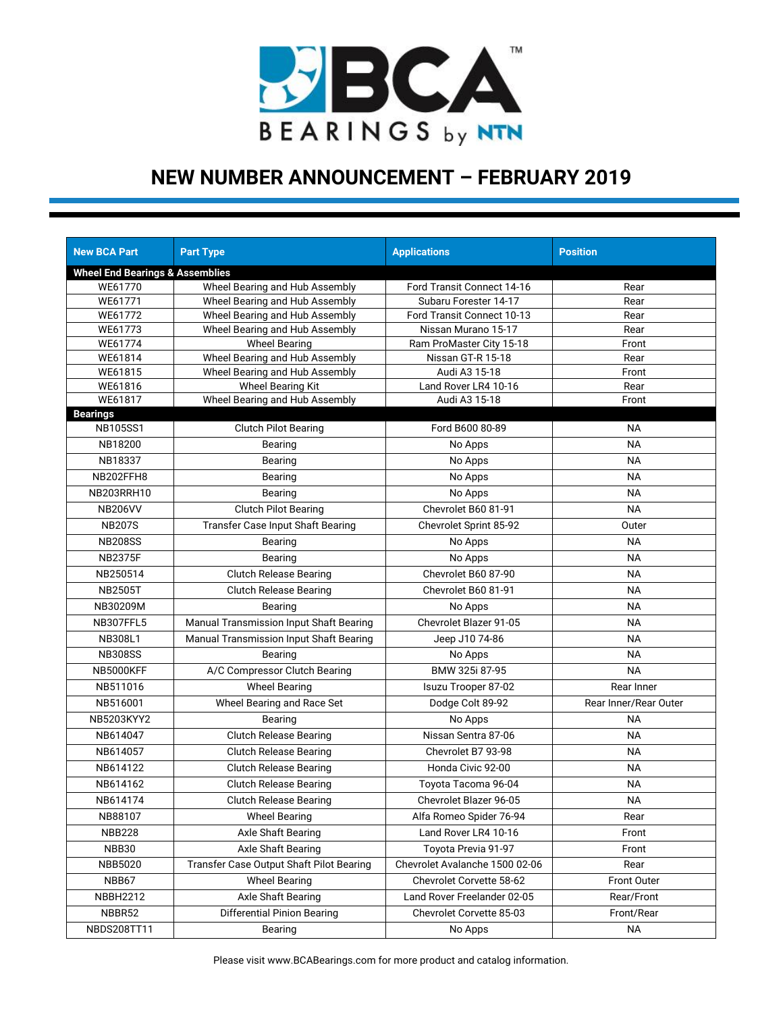

| <b>New BCA Part</b>                                   | <b>Part Type</b>                         | <b>Applications</b>            | <b>Position</b>       |
|-------------------------------------------------------|------------------------------------------|--------------------------------|-----------------------|
|                                                       |                                          |                                |                       |
| <b>Wheel End Bearings &amp; Assemblies</b><br>WE61770 | Wheel Bearing and Hub Assembly           | Ford Transit Connect 14-16     | Rear                  |
| WE61771                                               | Wheel Bearing and Hub Assembly           | Subaru Forester 14-17          | Rear                  |
| WE61772                                               | Wheel Bearing and Hub Assembly           | Ford Transit Connect 10-13     | Rear                  |
| WE61773                                               | Wheel Bearing and Hub Assembly           | Nissan Murano 15-17            | Rear                  |
| WE61774                                               | <b>Wheel Bearing</b>                     | Ram ProMaster City 15-18       | Front                 |
| WE61814                                               | Wheel Bearing and Hub Assembly           | Nissan GT-R 15-18              | Rear                  |
| WE61815                                               | Wheel Bearing and Hub Assembly           | Audi A3 15-18                  | Front                 |
| WE61816                                               | <b>Wheel Bearing Kit</b>                 | Land Rover LR4 10-16           | Rear                  |
| WE61817                                               | Wheel Bearing and Hub Assembly           | Audi A3 15-18                  | Front                 |
| <b>Bearings</b>                                       |                                          |                                |                       |
| <b>NB105SS1</b>                                       | <b>Clutch Pilot Bearing</b>              | Ford B600 80-89                | <b>NA</b>             |
| NB18200                                               | Bearing                                  | No Apps                        | <b>NA</b>             |
| NB18337                                               | Bearing                                  | No Apps                        | <b>NA</b>             |
| NB202FFH8                                             | Bearing                                  | No Apps                        | <b>NA</b>             |
| NB203RRH10                                            | Bearing                                  | No Apps                        | <b>NA</b>             |
| <b>NB206VV</b>                                        | <b>Clutch Pilot Bearing</b>              | Chevrolet B60 81-91            | <b>NA</b>             |
| <b>NB207S</b>                                         | <b>Transfer Case Input Shaft Bearing</b> | Chevrolet Sprint 85-92         | Outer                 |
| <b>NB208SS</b>                                        | Bearing                                  | No Apps                        | <b>NA</b>             |
| <b>NB2375F</b>                                        | Bearing                                  | No Apps                        | <b>NA</b>             |
| NB250514                                              | <b>Clutch Release Bearing</b>            | Chevrolet B60 87-90            | <b>NA</b>             |
| <b>NB2505T</b>                                        | <b>Clutch Release Bearing</b>            | Chevrolet B60 81-91            | <b>NA</b>             |
| NB30209M                                              | Bearing                                  | No Apps                        | <b>NA</b>             |
| NB307FFL5                                             | Manual Transmission Input Shaft Bearing  | Chevrolet Blazer 91-05         | <b>NA</b>             |
| <b>NB308L1</b>                                        | Manual Transmission Input Shaft Bearing  | Jeep J10 74-86                 | NA                    |
| <b>NB308SS</b>                                        | Bearing                                  | No Apps                        | <b>NA</b>             |
| NB5000KFF                                             | A/C Compressor Clutch Bearing            | BMW 325i 87-95                 | <b>NA</b>             |
| NB511016                                              | <b>Wheel Bearing</b>                     | Isuzu Trooper 87-02            | Rear Inner            |
| NB516001                                              | Wheel Bearing and Race Set               | Dodge Colt 89-92               | Rear Inner/Rear Outer |
| NB5203KYY2                                            | Bearing                                  | No Apps                        | NА                    |
| NB614047                                              | <b>Clutch Release Bearing</b>            | Nissan Sentra 87-06            | <b>NA</b>             |
| NB614057                                              | <b>Clutch Release Bearing</b>            | Chevrolet B7 93-98             | <b>NA</b>             |
| NB614122                                              | <b>Clutch Release Bearing</b>            | Honda Civic 92-00              | NA                    |
| NB614162                                              | <b>Clutch Release Bearing</b>            | Toyota Tacoma 96-04            | <b>NA</b>             |
| NB614174                                              | Clutch Release Bearing                   | Chevrolet Blazer 96-05         | <b>NA</b>             |
| NB88107                                               | <b>Wheel Bearing</b>                     | Alfa Romeo Spider 76-94        | Rear                  |
| <b>NBB228</b>                                         | Axle Shaft Bearing                       | Land Rover LR4 10-16           | Front                 |
| NBB30                                                 | Axle Shaft Bearing                       | Toyota Previa 91-97            | Front                 |
| <b>NBB5020</b>                                        | Transfer Case Output Shaft Pilot Bearing | Chevrolet Avalanche 1500 02-06 | Rear                  |
| NBB67                                                 | <b>Wheel Bearing</b>                     | Chevrolet Corvette 58-62       | Front Outer           |
| <b>NBBH2212</b>                                       | Axle Shaft Bearing                       | Land Rover Freelander 02-05    | Rear/Front            |
| NBBR52                                                | <b>Differential Pinion Bearing</b>       | Chevrolet Corvette 85-03       | Front/Rear            |
| NBDS208TT11                                           | Bearing                                  | No Apps                        | <b>NA</b>             |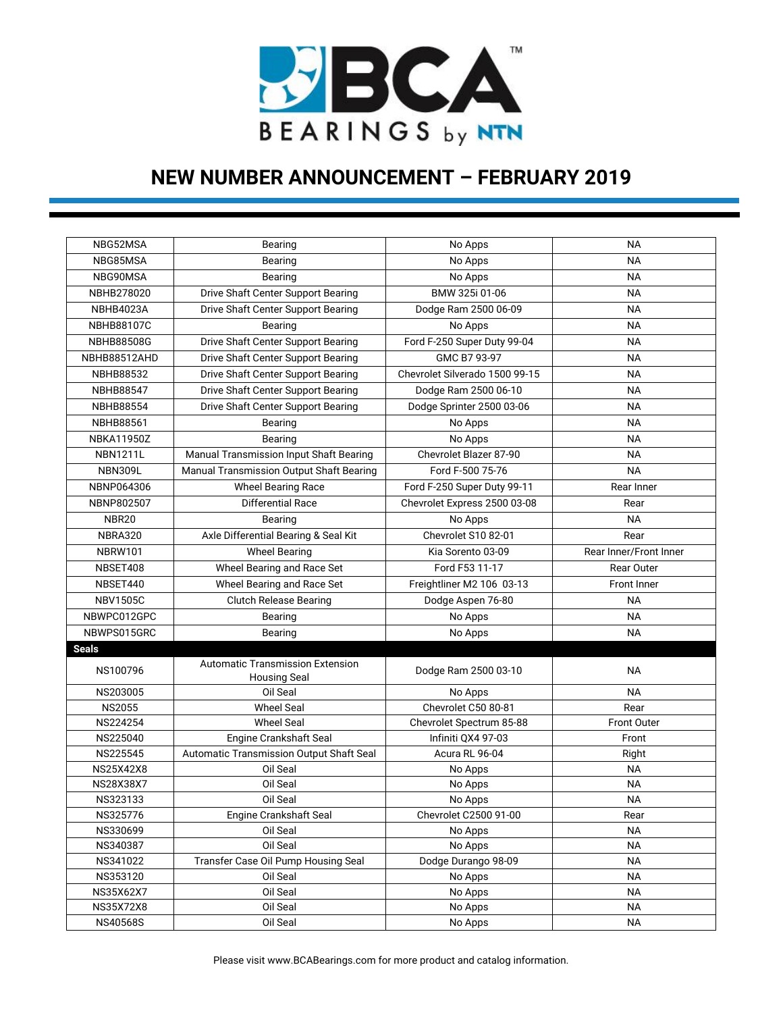

| NBG52MSA            | Bearing                                                        | No Apps                        | <b>NA</b>              |
|---------------------|----------------------------------------------------------------|--------------------------------|------------------------|
| NBG85MSA            | Bearing                                                        | No Apps                        | <b>NA</b>              |
| NBG90MSA            | <b>Bearing</b>                                                 | No Apps                        | <b>NA</b>              |
| NBHB278020          | Drive Shaft Center Support Bearing                             | BMW 325i 01-06                 | <b>NA</b>              |
| <b>NBHB4023A</b>    | Drive Shaft Center Support Bearing                             | Dodge Ram 2500 06-09           | <b>NA</b>              |
| <b>NBHB88107C</b>   | Bearing                                                        | No Apps                        | <b>NA</b>              |
| <b>NBHB88508G</b>   | Drive Shaft Center Support Bearing                             | Ford F-250 Super Duty 99-04    | <b>NA</b>              |
| <b>NBHB88512AHD</b> | Drive Shaft Center Support Bearing                             | GMC B7 93-97                   | <b>NA</b>              |
| <b>NBHB88532</b>    | Drive Shaft Center Support Bearing                             | Chevrolet Silverado 1500 99-15 | <b>NA</b>              |
| <b>NBHB88547</b>    | Drive Shaft Center Support Bearing                             | Dodge Ram 2500 06-10           | <b>NA</b>              |
| <b>NBHB88554</b>    | Drive Shaft Center Support Bearing                             | Dodge Sprinter 2500 03-06      | <b>NA</b>              |
| <b>NBHB88561</b>    | Bearing                                                        | No Apps                        | <b>NA</b>              |
| <b>NBKA11950Z</b>   | Bearing                                                        | No Apps                        | ΝA                     |
| <b>NBN1211L</b>     | Manual Transmission Input Shaft Bearing                        | Chevrolet Blazer 87-90         | <b>NA</b>              |
| <b>NBN309L</b>      | Manual Transmission Output Shaft Bearing                       | Ford F-500 75-76               | <b>NA</b>              |
| NBNP064306          | <b>Wheel Bearing Race</b>                                      | Ford F-250 Super Duty 99-11    | Rear Inner             |
| NBNP802507          | Differential Race                                              | Chevrolet Express 2500 03-08   | Rear                   |
| NBR20               | Bearing                                                        | No Apps                        | <b>NA</b>              |
| NBRA320             | Axle Differential Bearing & Seal Kit                           | Chevrolet S10 82-01            | Rear                   |
| <b>NBRW101</b>      | <b>Wheel Bearing</b>                                           | Kia Sorento 03-09              | Rear Inner/Front Inner |
| NBSET408            | Wheel Bearing and Race Set                                     | Ford F53 11-17                 | Rear Outer             |
| NBSET440            | Wheel Bearing and Race Set                                     | Freightliner M2 106 03-13      | Front Inner            |
| <b>NBV1505C</b>     | <b>Clutch Release Bearing</b>                                  | Dodge Aspen 76-80              | <b>NA</b>              |
| NBWPC012GPC         | Bearing                                                        | No Apps                        | <b>NA</b>              |
| NBWPS015GRC         | Bearing                                                        | No Apps                        | <b>NA</b>              |
| <b>Seals</b>        |                                                                |                                |                        |
| NS100796            | <b>Automatic Transmission Extension</b><br><b>Housing Seal</b> | Dodge Ram 2500 03-10           | <b>NA</b>              |
| NS203005            | Oil Seal                                                       | No Apps                        | <b>NA</b>              |
| <b>NS2055</b>       | <b>Wheel Seal</b>                                              | Chevrolet C50 80-81            | Rear                   |
| NS224254            | <b>Wheel Seal</b>                                              | Chevrolet Spectrum 85-88       | <b>Front Outer</b>     |
| NS225040            | <b>Engine Crankshaft Seal</b>                                  | Infiniti OX4 97-03             | Front                  |
| NS225545            | Automatic Transmission Output Shaft Seal                       | Acura RL 96-04                 | Right                  |
| <b>NS25X42X8</b>    | Oil Seal                                                       | No Apps                        | <b>NA</b>              |
| NS28X38X7           | Oil Seal                                                       | No Apps                        | <b>NA</b>              |
| NS323133            | Oil Seal                                                       | No Apps                        | ΝA                     |
| NS325776            | Engine Crankshaft Seal                                         | Chevrolet C2500 91-00          | Rear                   |
| NS330699            | Oil Seal                                                       | No Apps                        | <b>NA</b>              |
| NS340387            | Oil Seal                                                       | No Apps                        | <b>NA</b>              |
| NS341022            | Transfer Case Oil Pump Housing Seal                            | Dodge Durango 98-09            | <b>NA</b>              |
| NS353120            | Oil Seal                                                       | No Apps                        | ΝA                     |
| NS35X62X7           | Oil Seal                                                       | No Apps                        | ΝA                     |
| <b>NS35X72X8</b>    | Oil Seal                                                       | No Apps                        | ΝA                     |
| NS40568S            | Oil Seal                                                       | No Apps                        | <b>NA</b>              |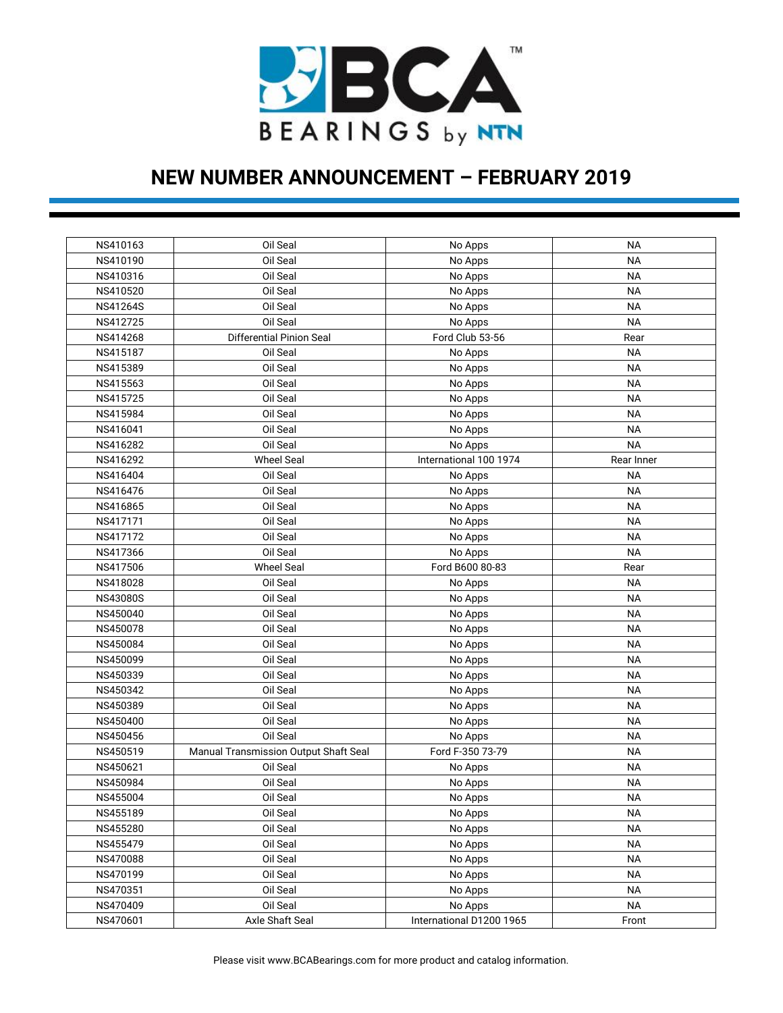

| NS410163        | Oil Seal                              | No Apps                  | NА         |
|-----------------|---------------------------------------|--------------------------|------------|
| NS410190        | Oil Seal                              | No Apps                  | <b>NA</b>  |
| NS410316        | Oil Seal                              | No Apps                  | ΝA         |
| NS410520        | Oil Seal                              | No Apps                  | ΝA         |
| NS41264S        | Oil Seal                              | No Apps                  | ΝA         |
| NS412725        | Oil Seal                              | No Apps                  | <b>NA</b>  |
| NS414268        | Differential Pinion Seal              | Ford Club 53-56          | Rear       |
| NS415187        | Oil Seal                              | No Apps                  | <b>NA</b>  |
| NS415389        | Oil Seal                              | No Apps                  | ΝA         |
| NS415563        | Oil Seal                              | No Apps                  | ΝA         |
| NS415725        | Oil Seal                              | No Apps                  | ΝA         |
| NS415984        | Oil Seal                              | No Apps                  | ΝA         |
| NS416041        | Oil Seal                              | No Apps                  | ΝA         |
| NS416282        | Oil Seal                              | No Apps                  | <b>NA</b>  |
| NS416292        | <b>Wheel Seal</b>                     | International 100 1974   | Rear Inner |
| NS416404        | Oil Seal                              | No Apps                  | <b>NA</b>  |
| NS416476        | Oil Seal                              | No Apps                  | ΝA         |
| NS416865        | Oil Seal                              | No Apps                  | ΝA         |
| NS417171        | Oil Seal                              | No Apps                  | ΝA         |
| NS417172        | Oil Seal                              | No Apps                  | ΝA         |
| NS417366        | Oil Seal                              | No Apps                  | <b>NA</b>  |
| NS417506        | <b>Wheel Seal</b>                     | Ford B600 80-83          | Rear       |
| NS418028        | Oil Seal                              | No Apps                  | ΝA         |
| <b>NS43080S</b> | Oil Seal                              | No Apps                  | ΝA         |
| NS450040        | Oil Seal                              | No Apps                  | ΝA         |
| NS450078        | Oil Seal                              | No Apps                  | ΝA         |
| NS450084        | Oil Seal                              | No Apps                  | ΝA         |
| NS450099        | Oil Seal                              | No Apps                  | ΝA         |
| NS450339        | Oil Seal                              | No Apps                  | ΝA         |
| NS450342        | Oil Seal                              | No Apps                  | ΝA         |
| NS450389        | Oil Seal                              | No Apps                  | ΝA         |
| NS450400        | Oil Seal                              | No Apps                  | ΝA         |
| NS450456        | Oil Seal                              | No Apps                  | ΝA         |
| NS450519        | Manual Transmission Output Shaft Seal | Ford F-350 73-79         | ΝA         |
| NS450621        | Oil Seal                              | No Apps                  | ΝA         |
| NS450984        | Oil Seal                              | No Apps                  | <b>NA</b>  |
| NS455004        | Oil Seal                              | No Apps                  | ΝA         |
| NS455189        | Oil Seal                              | No Apps                  | <b>NA</b>  |
| NS455280        | Oil Seal                              | No Apps                  | <b>NA</b>  |
| NS455479        | Oil Seal                              | No Apps                  | <b>NA</b>  |
| NS470088        | Oil Seal                              | No Apps                  | <b>NA</b>  |
| NS470199        | Oil Seal                              | No Apps                  | <b>NA</b>  |
| NS470351        | Oil Seal                              | No Apps                  | <b>NA</b>  |
| NS470409        | Oil Seal                              | No Apps                  | <b>NA</b>  |
| NS470601        | Axle Shaft Seal                       | International D1200 1965 | Front      |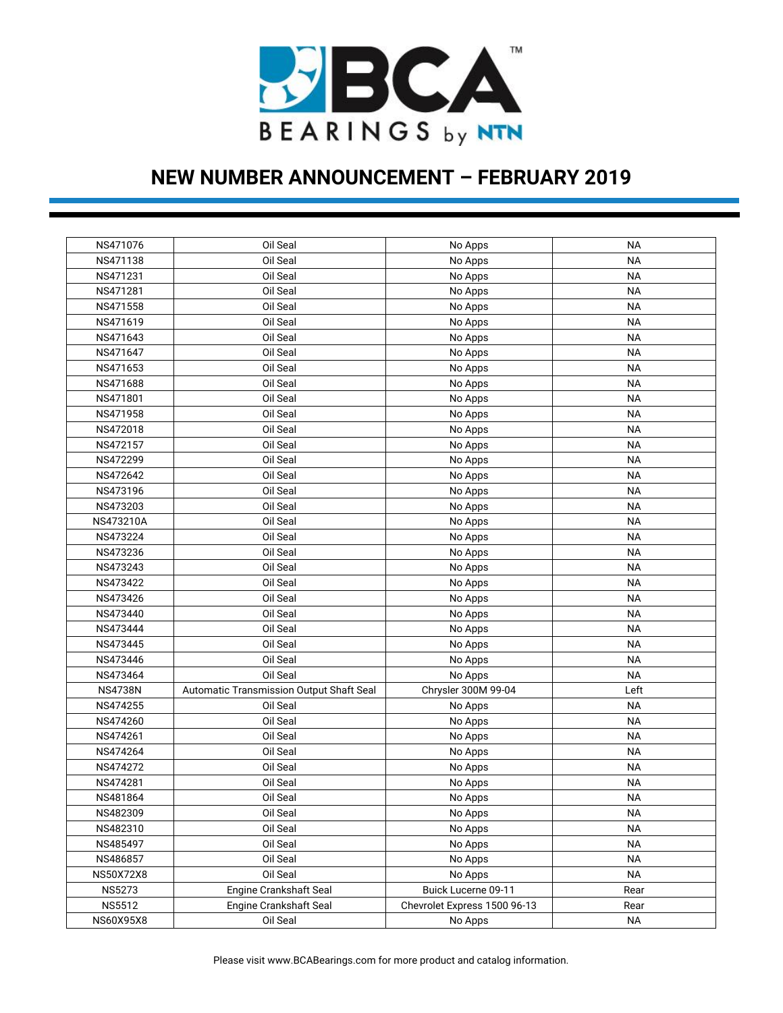

| NS471076         | Oil Seal                                 | No Apps                      | ΝA        |
|------------------|------------------------------------------|------------------------------|-----------|
| NS471138         | Oil Seal                                 | No Apps                      | ΝA        |
| NS471231         | Oil Seal                                 | No Apps                      | ΝA        |
| NS471281         | Oil Seal                                 | No Apps                      | ΝA        |
| NS471558         | Oil Seal                                 | No Apps                      | ΝA        |
| NS471619         | Oil Seal                                 | No Apps                      | ΝA        |
| NS471643         | Oil Seal                                 | No Apps                      | ΝA        |
| NS471647         | Oil Seal                                 | No Apps                      | ΝA        |
| NS471653         | Oil Seal                                 | No Apps                      | ΝA        |
| NS471688         | Oil Seal                                 | No Apps                      | ΝA        |
| NS471801         | Oil Seal                                 | No Apps                      | ΝA        |
| NS471958         | Oil Seal                                 | No Apps                      | ΝA        |
| NS472018         | Oil Seal                                 | No Apps                      | ΝA        |
| NS472157         | Oil Seal                                 | No Apps                      | ΝA        |
| NS472299         | Oil Seal                                 | No Apps                      | ΝA        |
| NS472642         | Oil Seal                                 | No Apps                      | ΝA        |
| NS473196         | Oil Seal                                 | No Apps                      | ΝA        |
| NS473203         | Oil Seal                                 | No Apps                      | ΝA        |
| NS473210A        | Oil Seal                                 | No Apps                      | ΝA        |
| NS473224         | Oil Seal                                 | No Apps                      | ΝA        |
| NS473236         | Oil Seal                                 | No Apps                      | ΝA        |
| NS473243         | Oil Seal                                 | No Apps                      | ΝA        |
| NS473422         | Oil Seal                                 | No Apps                      | ΝA        |
| NS473426         | Oil Seal                                 | No Apps                      | ΝA        |
| NS473440         | Oil Seal                                 | No Apps                      | ΝA        |
| NS473444         | Oil Seal                                 | No Apps                      | ΝA        |
| NS473445         | Oil Seal                                 | No Apps                      | ΝA        |
| NS473446         | Oil Seal                                 | No Apps                      | ΝA        |
| NS473464         | Oil Seal                                 | No Apps                      | ΝA        |
| <b>NS4738N</b>   | Automatic Transmission Output Shaft Seal | Chrysler 300M 99-04          | Left      |
| NS474255         | Oil Seal                                 | No Apps                      | ΝA        |
| NS474260         | Oil Seal                                 | No Apps                      | ΝA        |
| NS474261         | Oil Seal                                 | No Apps                      | ΝA        |
| NS474264         | Oil Seal                                 | No Apps                      | ΝA        |
| NS474272         | Oil Seal                                 | No Apps                      | ΝA        |
| NS474281         | Oil Seal                                 | No Apps                      | ΝA        |
| NS481864         | Oil Seal                                 | No Apps                      | <b>NA</b> |
| NS482309         | Oil Seal                                 | No Apps                      | ΝA        |
| NS482310         | Oil Seal                                 | No Apps                      | <b>NA</b> |
| NS485497         | Oil Seal                                 | No Apps                      | ΝA        |
| NS486857         | Oil Seal                                 | No Apps                      | ΝA        |
| <b>NS50X72X8</b> | Oil Seal                                 | No Apps                      | ΝA        |
| <b>NS5273</b>    | Engine Crankshaft Seal                   | Buick Lucerne 09-11          | Rear      |
| <b>NS5512</b>    | Engine Crankshaft Seal                   | Chevrolet Express 1500 96-13 | Rear      |
| NS60X95X8        | Oil Seal                                 | No Apps                      | <b>NA</b> |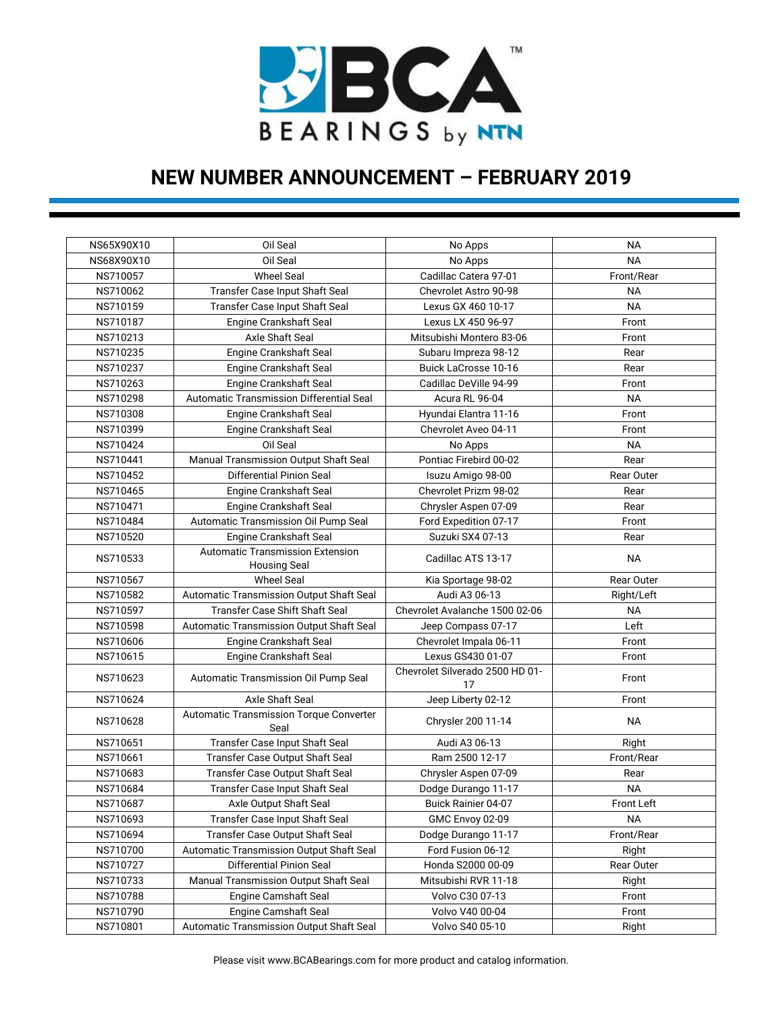

| NS65X90X10 | Oil Seal                                                       | No Apps                               | NA         |
|------------|----------------------------------------------------------------|---------------------------------------|------------|
| NS68X90X10 | Oil Seal                                                       | No Apps                               | <b>NA</b>  |
| NS710057   | <b>Wheel Seal</b>                                              | Cadillac Catera 97-01                 | Front/Rear |
| NS710062   | Transfer Case Input Shaft Seal                                 | Chevrolet Astro 90-98                 | <b>NA</b>  |
| NS710159   | Transfer Case Input Shaft Seal                                 | Lexus GX 460 10-17                    | <b>NA</b>  |
| NS710187   |                                                                | Lexus LX 450 96-97                    | Front      |
| NS710213   | Engine Crankshaft Seal<br>Axle Shaft Seal                      |                                       |            |
|            |                                                                | Mitsubishi Montero 83-06              | Front      |
| NS710235   | Engine Crankshaft Seal                                         | Subaru Impreza 98-12                  | Rear       |
| NS710237   | Engine Crankshaft Seal                                         | <b>Buick LaCrosse 10-16</b>           | Rear       |
| NS710263   | Engine Crankshaft Seal                                         | Cadillac DeVille 94-99                | Front      |
| NS710298   | Automatic Transmission Differential Seal                       | Acura RL 96-04                        | <b>NA</b>  |
| NS710308   | Engine Crankshaft Seal                                         | Hyundai Elantra 11-16                 | Front      |
| NS710399   | Engine Crankshaft Seal                                         | Chevrolet Aveo 04-11                  | Front      |
| NS710424   | Oil Seal                                                       | No Apps                               | <b>NA</b>  |
| NS710441   | Manual Transmission Output Shaft Seal                          | Pontiac Firebird 00-02                | Rear       |
| NS710452   | Differential Pinion Seal                                       | Isuzu Amigo 98-00                     | Rear Outer |
| NS710465   | Engine Crankshaft Seal                                         | Chevrolet Prizm 98-02                 | Rear       |
| NS710471   | Engine Crankshaft Seal                                         | Chrysler Aspen 07-09                  | Rear       |
| NS710484   | Automatic Transmission Oil Pump Seal                           | Ford Expedition 07-17                 | Front      |
| NS710520   | <b>Engine Crankshaft Seal</b>                                  | Suzuki SX4 07-13                      | Rear       |
| NS710533   | <b>Automatic Transmission Extension</b><br><b>Housing Seal</b> | Cadillac ATS 13-17                    | <b>NA</b>  |
| NS710567   | <b>Wheel Seal</b>                                              | Kia Sportage 98-02                    | Rear Outer |
| NS710582   | Automatic Transmission Output Shaft Seal                       | Audi A3 06-13                         | Right/Left |
| NS710597   | Transfer Case Shift Shaft Seal                                 | Chevrolet Avalanche 1500 02-06        | NА         |
| NS710598   | Automatic Transmission Output Shaft Seal                       | Jeep Compass 07-17                    | Left       |
| NS710606   | <b>Engine Crankshaft Seal</b>                                  | Chevrolet Impala 06-11                | Front      |
| NS710615   | Engine Crankshaft Seal                                         | Lexus GS430 01-07                     | Front      |
| NS710623   | Automatic Transmission Oil Pump Seal                           | Chevrolet Silverado 2500 HD 01-<br>17 | Front      |
| NS710624   | Axle Shaft Seal                                                | Jeep Liberty 02-12                    | Front      |
| NS710628   | Automatic Transmission Torque Converter<br>Seal                | Chrysler 200 11-14                    | <b>NA</b>  |
| NS710651   | Transfer Case Input Shaft Seal                                 | Audi A3 06-13                         | Right      |
| NS710661   | Transfer Case Output Shaft Seal                                | Ram 2500 12-17                        | Front/Rear |
| NS710683   | Transfer Case Output Shaft Seal                                | Chrysler Aspen 07-09                  | Rear       |
| NS710684   | Transfer Case Input Shaft Seal                                 | Dodge Durango 11-17                   | <b>NA</b>  |
| NS710687   | Axle Output Shaft Seal                                         | Buick Rainier 04-07                   | Front Left |
| NS710693   | Transfer Case Input Shaft Seal                                 | GMC Envoy 02-09                       | NА         |
| NS710694   | Transfer Case Output Shaft Seal                                | Dodge Durango 11-17                   | Front/Rear |
| NS710700   | Automatic Transmission Output Shaft Seal                       | Ford Fusion 06-12                     | Right      |
| NS710727   | Differential Pinion Seal                                       | Honda S2000 00-09                     | Rear Outer |
| NS710733   | Manual Transmission Output Shaft Seal                          | Mitsubishi RVR 11-18                  | Right      |
| NS710788   | Engine Camshaft Seal                                           | Volvo C30 07-13                       | Front      |
| NS710790   | Engine Camshaft Seal                                           | Volvo V40 00-04                       | Front      |
| NS710801   | Automatic Transmission Output Shaft Seal                       | Volvo S40 05-10                       | Right      |
|            |                                                                |                                       |            |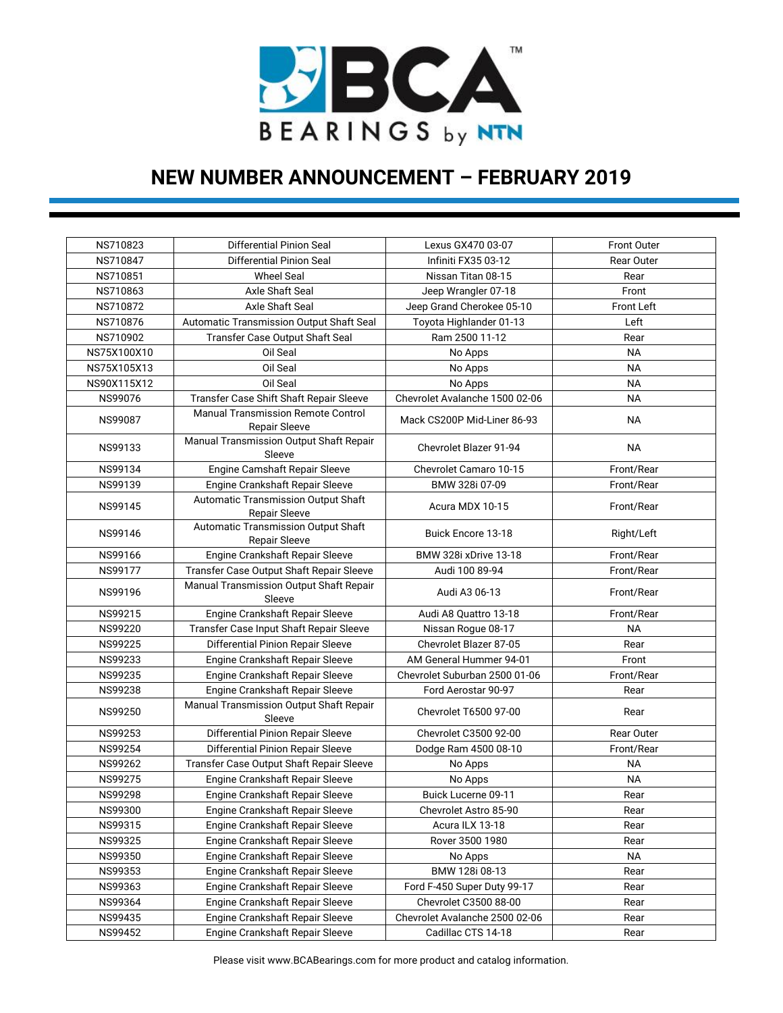

| NS710823       | Differential Pinion Seal                                          | Lexus GX470 03-07              | Front Outer       |
|----------------|-------------------------------------------------------------------|--------------------------------|-------------------|
| NS710847       | Differential Pinion Seal                                          | Infiniti FX35 03-12            | Rear Outer        |
| NS710851       | <b>Wheel Seal</b>                                                 | Nissan Titan 08-15             | Rear              |
| NS710863       | Axle Shaft Seal                                                   | Jeep Wrangler 07-18            | Front             |
| NS710872       | Axle Shaft Seal                                                   | Jeep Grand Cherokee 05-10      | <b>Front Left</b> |
| NS710876       | Automatic Transmission Output Shaft Seal                          | Toyota Highlander 01-13        | Left              |
| NS710902       | Transfer Case Output Shaft Seal                                   | Ram 2500 11-12                 | Rear              |
| NS75X100X10    | Oil Seal                                                          | No Apps                        | <b>NA</b>         |
| NS75X105X13    | Oil Seal                                                          | No Apps                        | <b>NA</b>         |
| NS90X115X12    | Oil Seal                                                          | No Apps                        | <b>NA</b>         |
| NS99076        | Transfer Case Shift Shaft Repair Sleeve                           | Chevrolet Avalanche 1500 02-06 | <b>NA</b>         |
| <b>NS99087</b> | <b>Manual Transmission Remote Control</b><br><b>Repair Sleeve</b> | Mack CS200P Mid-Liner 86-93    | <b>NA</b>         |
| NS99133        | Manual Transmission Output Shaft Repair<br>Sleeve                 | <b>Chevrolet Blazer 91-94</b>  | <b>NA</b>         |
| NS99134        | Engine Camshaft Repair Sleeve                                     | Chevrolet Camaro 10-15         | Front/Rear        |
| NS99139        | Engine Crankshaft Repair Sleeve                                   | BMW 328i 07-09                 | Front/Rear        |
| NS99145        | Automatic Transmission Output Shaft<br><b>Repair Sleeve</b>       | Acura MDX 10-15                | Front/Rear        |
| NS99146        | Automatic Transmission Output Shaft<br><b>Repair Sleeve</b>       | <b>Buick Encore 13-18</b>      | Right/Left        |
| NS99166        | Engine Crankshaft Repair Sleeve                                   | BMW 328i xDrive 13-18          | Front/Rear        |
| <b>NS99177</b> | Transfer Case Output Shaft Repair Sleeve                          | Audi 100 89-94                 | Front/Rear        |
| NS99196        | Manual Transmission Output Shaft Repair<br>Sleeve                 | Audi A3 06-13                  | Front/Rear        |
| NS99215        | Engine Crankshaft Repair Sleeve                                   | Audi A8 Quattro 13-18          | Front/Rear        |
| NS99220        | Transfer Case Input Shaft Repair Sleeve                           | Nissan Rogue 08-17             | <b>NA</b>         |
| NS99225        | Differential Pinion Repair Sleeve                                 | Chevrolet Blazer 87-05         | Rear              |
| <b>NS99233</b> | Engine Crankshaft Repair Sleeve                                   | AM General Hummer 94-01        | Front             |
| NS99235        | Engine Crankshaft Repair Sleeve                                   | Chevrolet Suburban 2500 01-06  | Front/Rear        |
| NS99238        | Engine Crankshaft Repair Sleeve                                   | Ford Aerostar 90-97            | Rear              |
| NS99250        | Manual Transmission Output Shaft Repair<br>Sleeve                 | <b>Chevrolet T6500 97-00</b>   | Rear              |
| NS99253        | Differential Pinion Repair Sleeve                                 | Chevrolet C3500 92-00          | Rear Outer        |
| NS99254        | Differential Pinion Repair Sleeve                                 | Dodge Ram 4500 08-10           | Front/Rear        |
| NS99262        | Transfer Case Output Shaft Repair Sleeve                          | No Apps                        | <b>NA</b>         |
| NS99275        | Engine Crankshaft Repair Sleeve                                   | No Apps                        | <b>NA</b>         |
| <b>NS99298</b> | Engine Crankshaft Repair Sleeve                                   | Buick Lucerne 09-11            | Rear              |
| NS99300        | Engine Crankshaft Repair Sleeve                                   | Chevrolet Astro 85-90          | Rear              |
| NS99315        | Engine Crankshaft Repair Sleeve                                   | Acura ILX 13-18                | Rear              |
| NS99325        | Engine Crankshaft Repair Sleeve                                   | Rover 3500 1980                | Rear              |
| NS99350        | Engine Crankshaft Repair Sleeve                                   | No Apps                        | <b>NA</b>         |
| NS99353        | Engine Crankshaft Repair Sleeve                                   | BMW 128i 08-13                 | Rear              |
| NS99363        | Engine Crankshaft Repair Sleeve                                   | Ford F-450 Super Duty 99-17    | Rear              |
| NS99364        | Engine Crankshaft Repair Sleeve                                   | Chevrolet C3500 88-00          | Rear              |
| NS99435        | Engine Crankshaft Repair Sleeve                                   | Chevrolet Avalanche 2500 02-06 | Rear              |
| NS99452        | Engine Crankshaft Repair Sleeve                                   | Cadillac CTS 14-18             | Rear              |